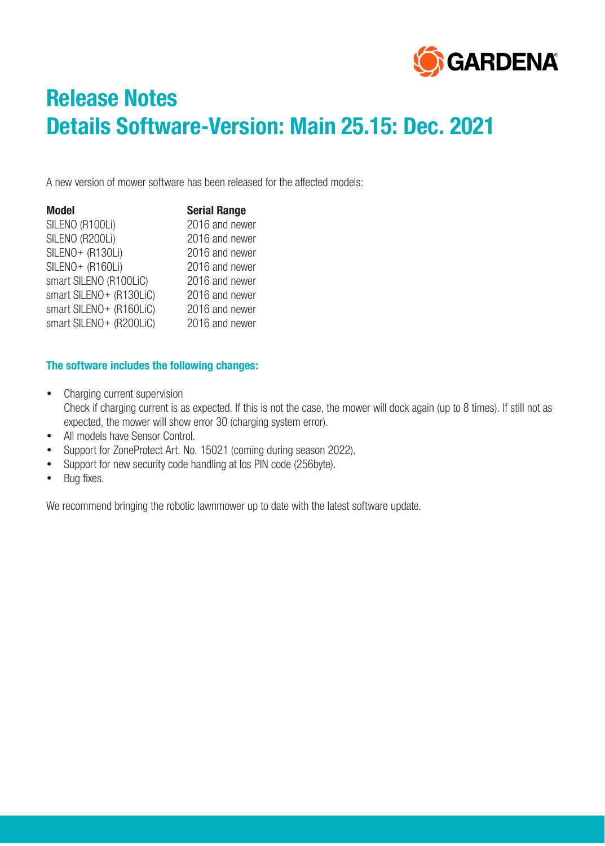

# **Release Notes Details Software-Version: Main 25.15: Dec. 2021**

A new version of mower software has been released for the affected models:

| <b>Model</b>             | <b>Serial Range</b> |
|--------------------------|---------------------|
| SILENO (R100Li)          | 2016 and newer      |
| SILENO (R200Li)          | 2016 and newer      |
| SILENO+ (R130Li)         | 2016 and newer      |
| SILENO+ (R160Li)         | 2016 and newer      |
| smart SILENO (R100LiC)   | 2016 and newer      |
| smart SILENO + (R130LiC) | 2016 and newer      |
| smart SILENO + (R160LiC) | 2016 and newer      |
| smart SILENO + (R200LiC) | 2016 and newer      |

### **The software includes the following changes:**

- Charging current supervision Check if charging current is as expected. If this is not the case, the mower will dock again (up to 8 times). If still not as expected, the mower will show error 30 (charging system error).
- All models have Sensor Control.
- Support for ZoneProtect Art. No. 15021 (coming during season 2022).
- Support for new security code handling at los PIN code (256byte).
- Bug fixes.

We recommend bringing the robotic lawnmower up to date with the latest software update.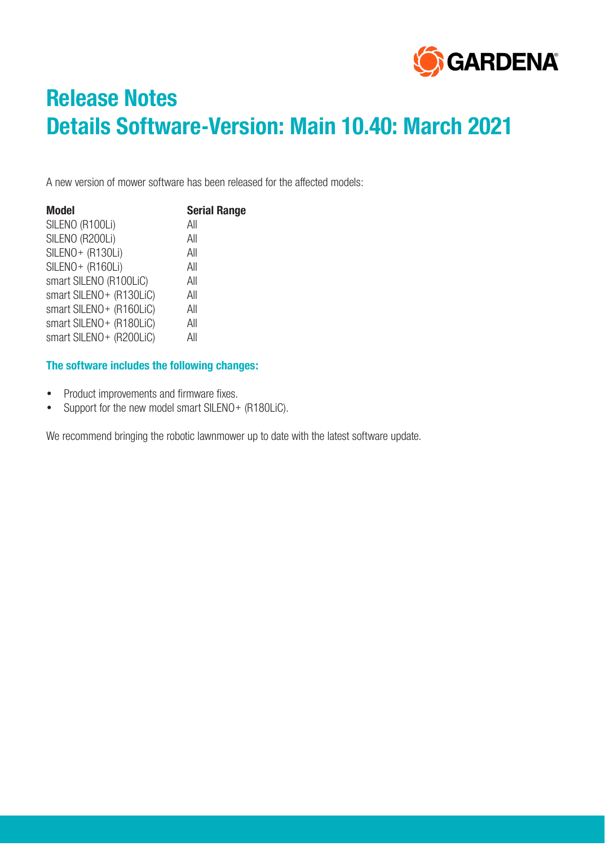

# **Release Notes Details Software-Version: Main 10.40: March 2021**

A new version of mower software has been released for the affected models:

| <b>Model</b>             | <b>Serial Range</b> |
|--------------------------|---------------------|
| SILENO (R100Li)          | All                 |
| SILENO (R200Li)          | All                 |
| SILENO+ (R130Li)         | All                 |
| SILENO+ (R160Li)         | All                 |
| smart SILENO (R100LiC)   | All                 |
| smart SILENO+ (R130LiC)  | All                 |
| smart SILENO + (R160LiC) | All                 |
| smart SILENO + (R180LiC) | All                 |
| smart SILENO + (R200LiC) | All                 |

### **The software includes the following changes:**

- Product improvements and firmware fixes.
- Support for the new model smart SILENO+ (R180LiC).

We recommend bringing the robotic lawnmower up to date with the latest software update.